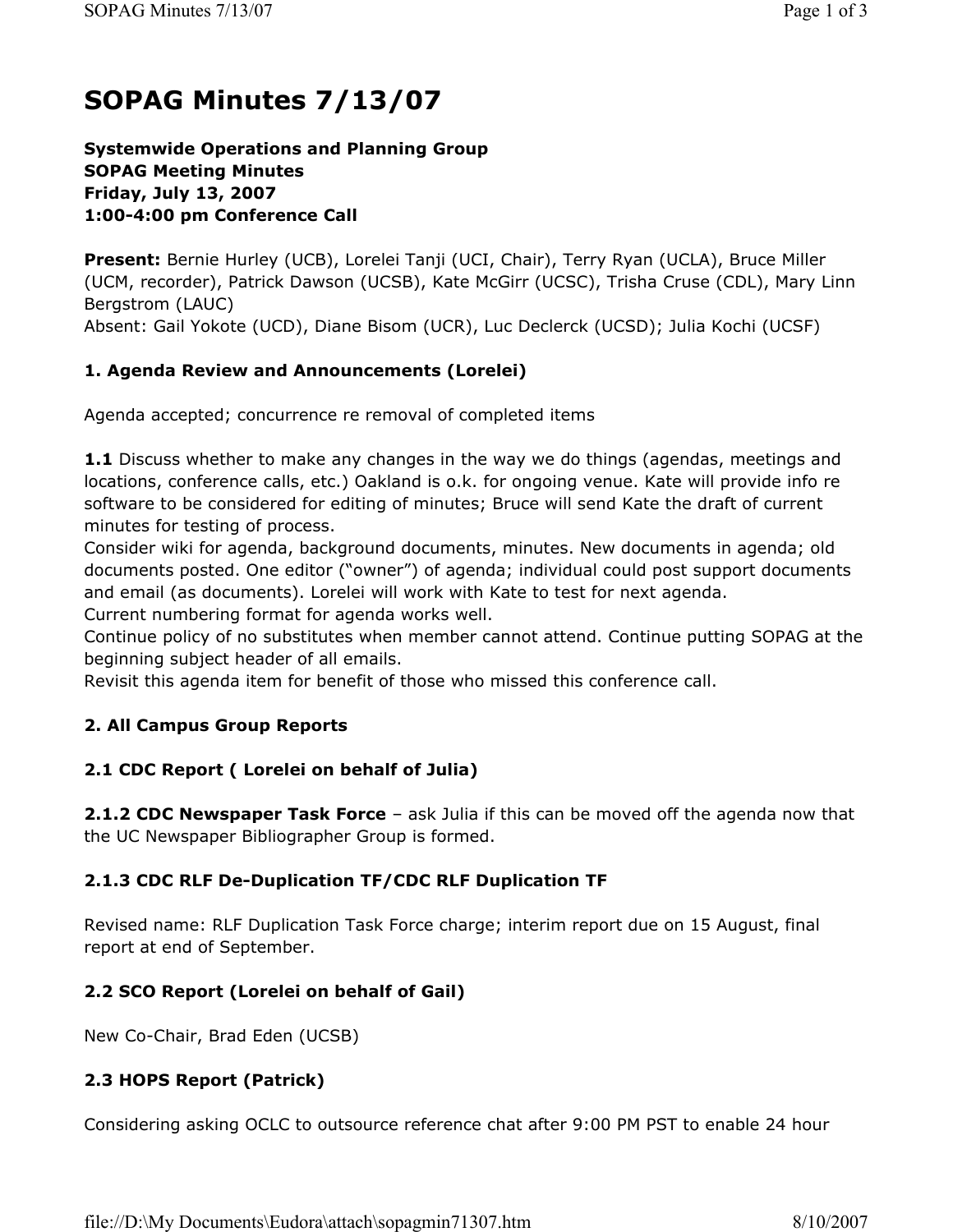# **SOPAG Minutes 7/13/07**

#### **Systemwide Operations and Planning Group SOPAG Meeting Minutes Friday, July 13, 2007 1:00-4:00 pm Conference Call**

**Present:** Bernie Hurley (UCB), Lorelei Tanji (UCI, Chair), Terry Ryan (UCLA), Bruce Miller (UCM, recorder), Patrick Dawson (UCSB), Kate McGirr (UCSC), Trisha Cruse (CDL), Mary Linn Bergstrom (LAUC) Absent: Gail Yokote (UCD), Diane Bisom (UCR), Luc Declerck (UCSD); Julia Kochi (UCSF)

### **1. Agenda Review and Announcements (Lorelei)**

Agenda accepted; concurrence re removal of completed items

**1.1** Discuss whether to make any changes in the way we do things (agendas, meetings and locations, conference calls, etc.) Oakland is o.k. for ongoing venue. Kate will provide info re software to be considered for editing of minutes; Bruce will send Kate the draft of current minutes for testing of process.

Consider wiki for agenda, background documents, minutes. New documents in agenda; old documents posted. One editor ("owner") of agenda; individual could post support documents and email (as documents). Lorelei will work with Kate to test for next agenda.

Current numbering format for agenda works well.

Continue policy of no substitutes when member cannot attend. Continue putting SOPAG at the beginning subject header of all emails.

Revisit this agenda item for benefit of those who missed this conference call.

#### **2. All Campus Group Reports**

#### **2.1 CDC Report ( Lorelei on behalf of Julia)**

**2.1.2 CDC Newspaper Task Force** – ask Julia if this can be moved off the agenda now that the UC Newspaper Bibliographer Group is formed.

#### **2.1.3 CDC RLF De-Duplication TF/CDC RLF Duplication TF**

Revised name: RLF Duplication Task Force charge; interim report due on 15 August, final report at end of September.

#### **2.2 SCO Report (Lorelei on behalf of Gail)**

New Co-Chair, Brad Eden (UCSB)

#### **2.3 HOPS Report (Patrick)**

Considering asking OCLC to outsource reference chat after 9:00 PM PST to enable 24 hour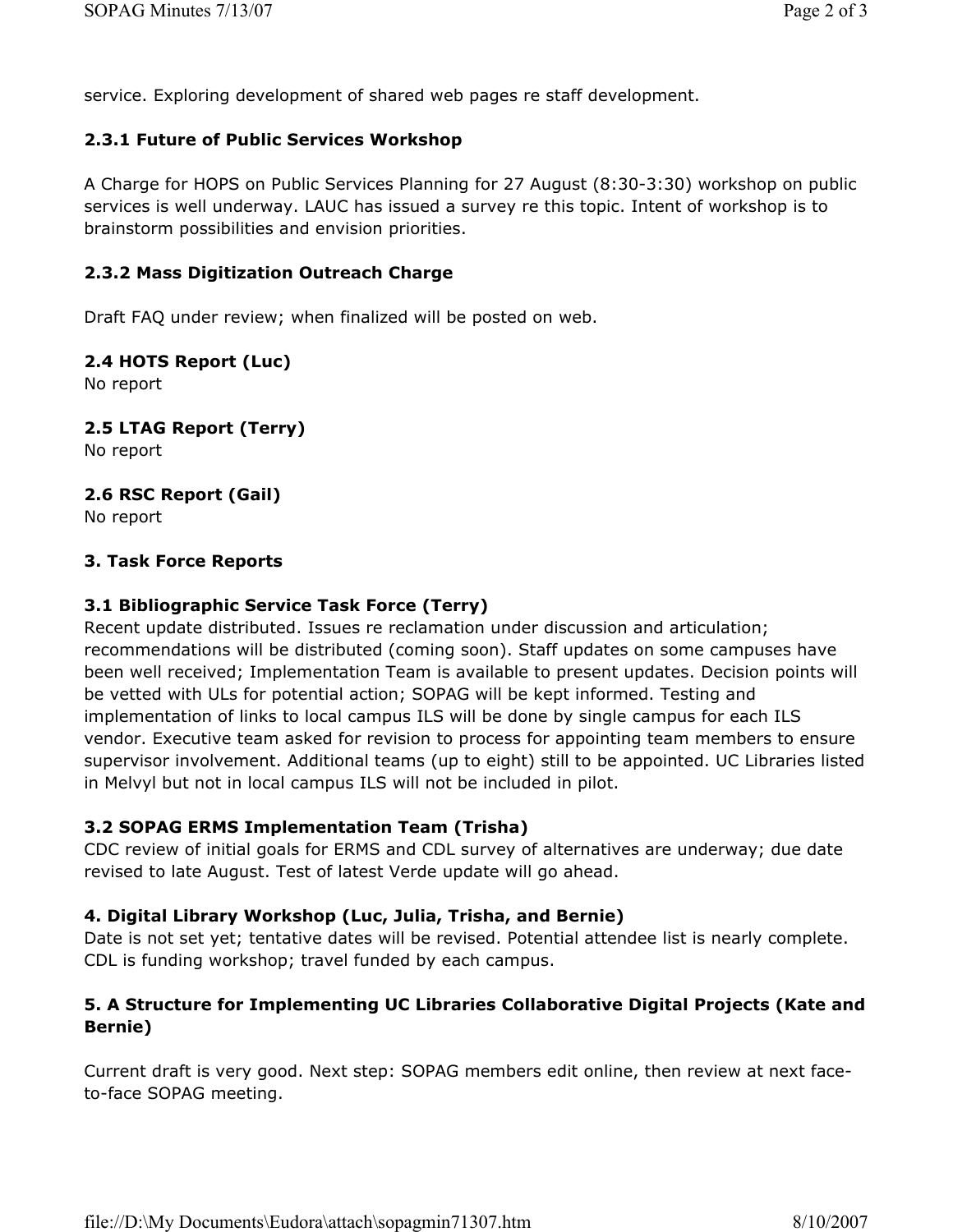service. Exploring development of shared web pages re staff development.

#### **2.3.1 Future of Public Services Workshop**

A Charge for HOPS on Public Services Planning for 27 August (8:30-3:30) workshop on public services is well underway. LAUC has issued a survey re this topic. Intent of workshop is to brainstorm possibilities and envision priorities.

### **2.3.2 Mass Digitization Outreach Charge**

Draft FAQ under review; when finalized will be posted on web.

#### **2.4 HOTS Report (Luc)**

No report

### **2.5 LTAG Report (Terry)**

No report

### **2.6 RSC Report (Gail)**

No report

#### **3. Task Force Reports**

### **3.1 Bibliographic Service Task Force (Terry)**

Recent update distributed. Issues re reclamation under discussion and articulation; recommendations will be distributed (coming soon). Staff updates on some campuses have been well received; Implementation Team is available to present updates. Decision points will be vetted with ULs for potential action; SOPAG will be kept informed. Testing and implementation of links to local campus ILS will be done by single campus for each ILS vendor. Executive team asked for revision to process for appointing team members to ensure supervisor involvement. Additional teams (up to eight) still to be appointed. UC Libraries listed in Melvyl but not in local campus ILS will not be included in pilot.

#### **3.2 SOPAG ERMS Implementation Team (Trisha)**

CDC review of initial goals for ERMS and CDL survey of alternatives are underway; due date revised to late August. Test of latest Verde update will go ahead.

#### **4. Digital Library Workshop (Luc, Julia, Trisha, and Bernie)**

Date is not set yet; tentative dates will be revised. Potential attendee list is nearly complete. CDL is funding workshop; travel funded by each campus.

### **5. A Structure for Implementing UC Libraries Collaborative Digital Projects (Kate and Bernie)**

Current draft is very good. Next step: SOPAG members edit online, then review at next faceto-face SOPAG meeting.